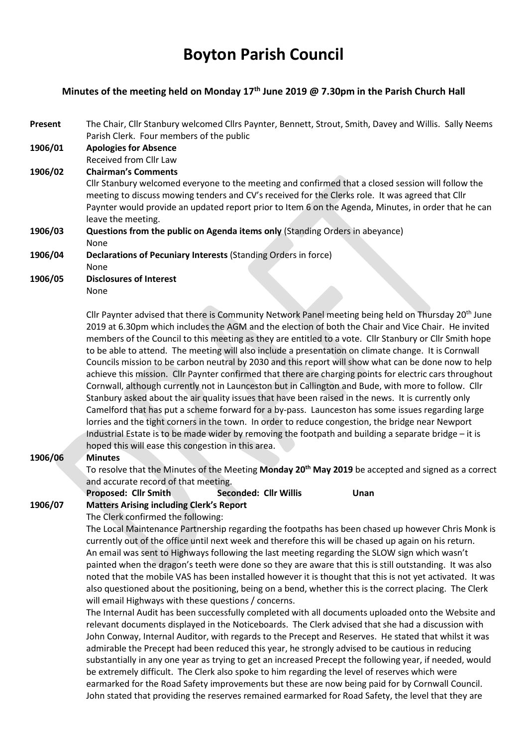# Boyton Parish Council

### Minutes of the meeting held on Monday 17<sup>th</sup> June 2019 @ 7.30pm in the Parish Church Hall

- Present The Chair, Cllr Stanbury welcomed Cllrs Paynter, Bennett, Strout, Smith, Davey and Willis. Sally Neems Parish Clerk. Four members of the public
- 1906/01 Apologies for Absence Received from Cllr Law
- 1906/02 Chairman's Comments

Cllr Stanbury welcomed everyone to the meeting and confirmed that a closed session will follow the meeting to discuss mowing tenders and CV's received for the Clerks role. It was agreed that Cllr Paynter would provide an updated report prior to Item 6 on the Agenda, Minutes, in order that he can leave the meeting.

- 1906/03 Questions from the public on Agenda items only (Standing Orders in abeyance) None
- 1906/04 Declarations of Pecuniary Interests (Standing Orders in force) None
- 
- 1906/05 Disclosures of Interest
	- None

Cllr Paynter advised that there is Community Network Panel meeting being held on Thursday 20<sup>th</sup> June 2019 at 6.30pm which includes the AGM and the election of both the Chair and Vice Chair. He invited members of the Council to this meeting as they are entitled to a vote. Cllr Stanbury or Cllr Smith hope to be able to attend. The meeting will also include a presentation on climate change. It is Cornwall Councils mission to be carbon neutral by 2030 and this report will show what can be done now to help achieve this mission. Cllr Paynter confirmed that there are charging points for electric cars throughout Cornwall, although currently not in Launceston but in Callington and Bude, with more to follow. Cllr Stanbury asked about the air quality issues that have been raised in the news. It is currently only Camelford that has put a scheme forward for a by-pass. Launceston has some issues regarding large lorries and the tight corners in the town. In order to reduce congestion, the bridge near Newport Industrial Estate is to be made wider by removing the footpath and building a separate bridge – it is hoped this will ease this congestion in this area.

## 1906/06 Minutes

To resolve that the Minutes of the Meeting Monday 20<sup>th</sup> May 2019 be accepted and signed as a correct and accurate record of that meeting.

### Proposed: Cllr Smith Seconded: Cllr Willis Unan

## 1906/07 Matters Arising including Clerk's Report

The Clerk confirmed the following:

The Local Maintenance Partnership regarding the footpaths has been chased up however Chris Monk is currently out of the office until next week and therefore this will be chased up again on his return. An email was sent to Highways following the last meeting regarding the SLOW sign which wasn't painted when the dragon's teeth were done so they are aware that this is still outstanding. It was also noted that the mobile VAS has been installed however it is thought that this is not yet activated. It was also questioned about the positioning, being on a bend, whether this is the correct placing. The Clerk will email Highways with these questions / concerns.

The Internal Audit has been successfully completed with all documents uploaded onto the Website and relevant documents displayed in the Noticeboards. The Clerk advised that she had a discussion with John Conway, Internal Auditor, with regards to the Precept and Reserves. He stated that whilst it was admirable the Precept had been reduced this year, he strongly advised to be cautious in reducing substantially in any one year as trying to get an increased Precept the following year, if needed, would be extremely difficult. The Clerk also spoke to him regarding the level of reserves which were earmarked for the Road Safety improvements but these are now being paid for by Cornwall Council. John stated that providing the reserves remained earmarked for Road Safety, the level that they are